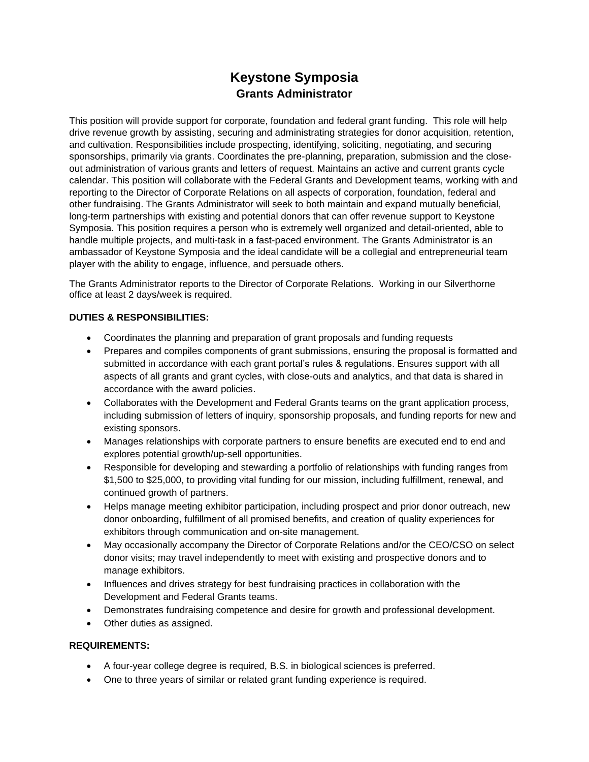# **Keystone Symposia Grants Administrator**

This position will provide support for corporate, foundation and federal grant funding. This role will help drive revenue growth by assisting, securing and administrating strategies for donor acquisition, retention, and cultivation. Responsibilities include prospecting, identifying, soliciting, negotiating, and securing sponsorships, primarily via grants. Coordinates the pre-planning, preparation, submission and the closeout administration of various grants and letters of request. Maintains an active and current grants cycle calendar. This position will collaborate with the Federal Grants and Development teams, working with and reporting to the Director of Corporate Relations on all aspects of corporation, foundation, federal and other fundraising. The Grants Administrator will seek to both maintain and expand mutually beneficial, long-term partnerships with existing and potential donors that can offer revenue support to Keystone Symposia. This position requires a person who is extremely well organized and detail-oriented, able to handle multiple projects, and multi-task in a fast-paced environment. The Grants Administrator is an ambassador of Keystone Symposia and the ideal candidate will be a collegial and entrepreneurial team player with the ability to engage, influence, and persuade others.

The Grants Administrator reports to the Director of Corporate Relations. Working in our Silverthorne office at least 2 days/week is required.

## **DUTIES & RESPONSIBILITIES:**

- Coordinates the planning and preparation of grant proposals and funding requests
- Prepares and compiles components of grant submissions, ensuring the proposal is formatted and submitted in accordance with each grant portal's rules & regulations. Ensures support with all aspects of all grants and grant cycles, with close-outs and analytics, and that data is shared in accordance with the award policies.
- Collaborates with the Development and Federal Grants teams on the grant application process, including submission of letters of inquiry, sponsorship proposals, and funding reports for new and existing sponsors.
- Manages relationships with corporate partners to ensure benefits are executed end to end and explores potential growth/up-sell opportunities.
- Responsible for developing and stewarding a portfolio of relationships with funding ranges from \$1,500 to \$25,000, to providing vital funding for our mission, including fulfillment, renewal, and continued growth of partners.
- Helps manage meeting exhibitor participation, including prospect and prior donor outreach, new donor onboarding, fulfillment of all promised benefits, and creation of quality experiences for exhibitors through communication and on-site management.
- May occasionally accompany the Director of Corporate Relations and/or the CEO/CSO on select donor visits; may travel independently to meet with existing and prospective donors and to manage exhibitors.
- Influences and drives strategy for best fundraising practices in collaboration with the Development and Federal Grants teams.
- Demonstrates fundraising competence and desire for growth and professional development.
- Other duties as assigned.

### **REQUIREMENTS:**

- A four-year college degree is required, B.S. in biological sciences is preferred.
- One to three years of similar or related grant funding experience is required.